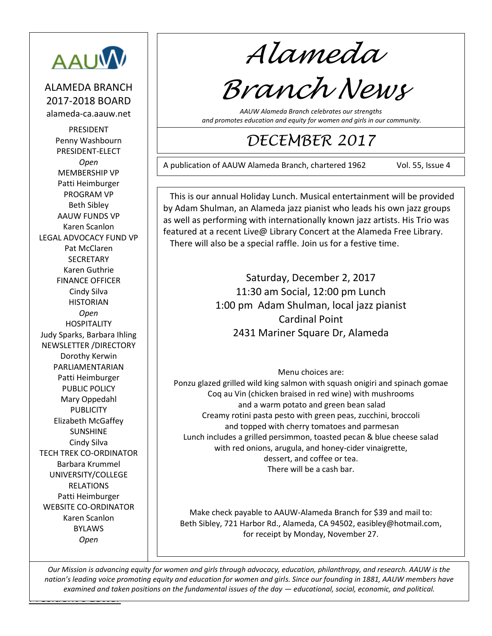

ALAMEDA BRANCH 2017-2018 BOARD alameda-ca.aauw.net

PRESIDENT Penny Washbourn PRESIDENT-ELECT *Open* MEMBERSHIP VP Patti Heimburger PROGRAM VP Beth Sibley AAUW FUNDS VP Karen Scanlon LEGAL ADVOCACY FUND VP Pat McClaren **SECRETARY** Karen Guthrie FINANCE OFFICER Cindy Silva HISTORIAN *Open* HOSPITALITY Judy Sparks, Barbara Ihling NEWSLETTER /DIRECTORY Dorothy Kerwin PARLIAMENTARIAN Patti Heimburger PUBLIC POLICY Mary Oppedahl PUBLICITY Elizabeth McGaffey SUNSHINE Cindy Silva TECH TREK CO-ORDINATOR Barbara Krummel UNIVERSITY/COLLEGE RELATIONS Patti Heimburger WEBSITE CO-ORDINATOR Karen Scanlon BYLAWS *Open*

*Alameda*

# *Branch News*

*AAUW Alameda Branch celebrates our strengths and promotes education and equity for women and girls in our community.*

# *DECEMBER 2017*

A publication of AAUW Alameda Branch, chartered 1962 Vol. 55, Issue 4

221210 This is our annual Holiday Lunch. Musical entertainment will be provided by Adam Shulman, an Alameda jazz pianist who leads his own jazz groups as well as performing with internationally known jazz artists. His Trio was featured at a recent Live@ Library Concert at the Alameda Free Library. There will also be a special raffle. Join us for a festive time.

> Saturday, December 2, 2017 11:30 am Social, 12:00 pm Lunch 1:00 pm Adam Shulman, local jazz pianist Cardinal Point 2431 Mariner Square Dr, Alameda

> > Menu choices are:

Ponzu glazed grilled wild king salmon with squash onigiri and spinach gomae Coq au Vin (chicken braised in red wine) with mushrooms and a warm potato and green bean salad Creamy rotini pasta pesto with green peas, zucchini, broccoli and topped with cherry tomatoes and parmesan Lunch includes a grilled persimmon, toasted pecan & blue cheese salad with red onions, arugula, and honey-cider vinaigrette, dessert, and coffee or tea. There will be a cash bar.

Make check payable to AAUW-Alameda Branch for \$39 and mail to: Beth Sibley, 721 Harbor Rd., Alameda, CA 94502[, easibley@hotmail.com,](mailto:easibley@hotmail.com) for receipt by Monday, November 27.

<u>Letters and the Letters and</u> *Our Mission is advancing equity for women and girls through advocacy, education, philanthropy, and research. AAUW is the nation's leading voice promoting equity and education for women and girls. Since our founding in 1881, AAUW members have examined and taken positions on the fundamental issues of the day — educational, social, economic, and political.*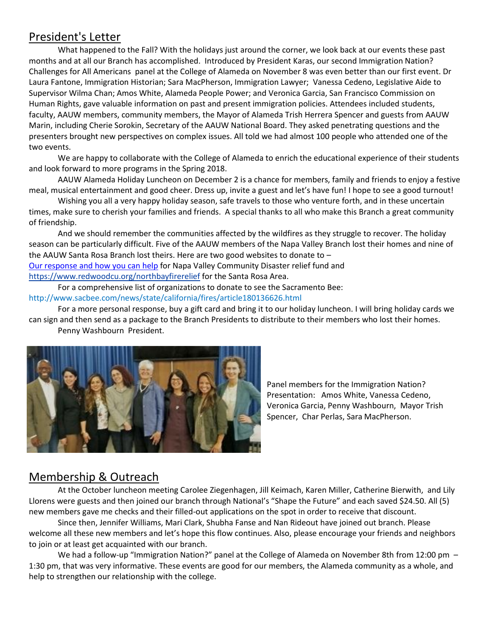# President's Letter

What happened to the Fall? With the holidays just around the corner, we look back at our events these past months and at all our Branch has accomplished. Introduced by President Karas, our second Immigration Nation? Challenges for All Americans panel at the College of Alameda on November 8 was even better than our first event. Dr Laura Fantone, Immigration Historian; Sara MacPherson, Immigration Lawyer; Vanessa Cedeno, Legislative Aide to Supervisor Wilma Chan; Amos White, Alameda People Power; and Veronica Garcia, San Francisco Commission on Human Rights, gave valuable information on past and present immigration policies. Attendees included students, faculty, AAUW members, community members, the Mayor of Alameda Trish Herrera Spencer and guests from AAUW Marin, including Cherie Sorokin, Secretary of the AAUW National Board. They asked penetrating questions and the presenters brought new perspectives on complex issues. All told we had almost 100 people who attended one of the two events.

We are happy to collaborate with the College of Alameda to enrich the educational experience of their students and look forward to more programs in the Spring 2018.

AAUW Alameda Holiday Luncheon on December 2 is a chance for members, family and friends to enjoy a festive meal, musical entertainment and good cheer. Dress up, invite a guest and let's have fun! I hope to see a good turnout!

Wishing you all a very happy holiday season, safe travels to those who venture forth, and in these uncertain times, make sure to cherish your families and friends. A special thanks to all who make this Branch a great community of friendship.

And we should remember the communities affected by the wildfires as they struggle to recover. The holiday season can be particularly difficult. Five of the AAUW members of the Napa Valley Branch lost their homes and nine of the AAUW Santa Rosa Branch lost theirs. Here are two good websites to donate to –

[Our response and how you can help](http://www.napavalleycf.org/donate-to-the-disaster-relief-fund/) for Napa Valley Community Disaster relief fund and

<https://www.redwoodcu.org/northbayfirerelief> for the Santa Rosa Area.

For a comprehensive list of organizations to donate to see the Sacramento Bee: <http://www.sacbee.com/news/state/california/fires/article180136626.html>

For a more personal response, buy a gift card and bring it to our holiday luncheon. I will bring holiday cards we can sign and then send as a package to the Branch Presidents to distribute to their members who lost their homes.

Penny Washbourn President.



Panel members for the Immigration Nation? Presentation: Amos White, Vanessa Cedeno, Veronica Garcia, Penny Washbourn, Mayor Trish Spencer, Char Perlas, Sara MacPherson.

# Membership & Outreach

At the October luncheon meeting Carolee Ziegenhagen, Jill Keimach, Karen Miller, Catherine Bierwith, and Lily Llorens were guests and then joined our branch through National's "Shape the Future" and each saved \$24.50. All (5) new members gave me checks and their filled-out applications on the spot in order to receive that discount.

Since then, Jennifer Williams, Mari Clark, Shubha Fanse and Nan Rideout have joined out branch. Please welcome all these new members and let's hope this flow continues. Also, please encourage your friends and neighbors to join or at least get acquainted with our branch.

We had a follow-up "Immigration Nation?" panel at the College of Alameda on November 8th from 12:00 pm -1:30 pm, that was very informative. These events are good for our members, the Alameda community as a whole, and help to strengthen our relationship with the college.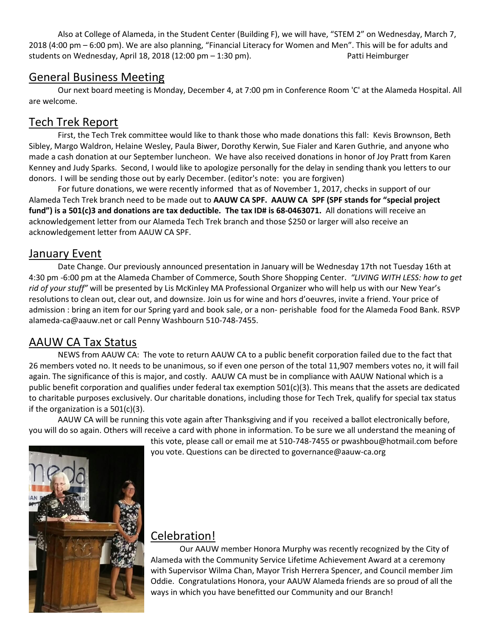Also at College of Alameda, in the Student Center (Building F), we will have, "STEM 2" on Wednesday, March 7, 2018 (4:00 pm – 6:00 pm). We are also planning, "Financial Literacy for Women and Men". This will be for adults and students on Wednesday, April 18, 2018 (12:00 pm – 1:30 pm). Patti Heimburger

#### General Business Meeting

Our next board meeting is Monday, December 4, at 7:00 pm in Conference Room 'C' at the Alameda Hospital. All are welcome.

# Tech Trek Report

First, the Tech Trek committee would like to thank those who made donations this fall: Kevis Brownson, Beth Sibley, Margo Waldron, Helaine Wesley, Paula Biwer, Dorothy Kerwin, Sue Fialer and Karen Guthrie, and anyone who made a cash donation at our September luncheon. We have also received donations in honor of Joy Pratt from Karen Kenney and Judy Sparks. Second, I would like to apologize personally for the delay in sending thank you letters to our donors. I will be sending those out by early December. (editor's note: you are forgiven)

For future donations, we were recently informed that as of November 1, 2017, checks in support of our Alameda Tech Trek branch need to be made out to **AAUW CA SPF. AAUW CA SPF (SPF stands for "special project fund") is a 501(c)3 and donations are tax deductible. The tax ID# is 68-0463071.** All donations will receive an acknowledgement letter from our Alameda Tech Trek branch and those \$250 or larger will also receive an acknowledgement letter from AAUW CA SPF.

# January Event

Date Change. Our previously announced presentation in January will be Wednesday 17th not Tuesday 16th at 4:30 pm -6:00 pm at the Alameda Chamber of Commerce, South Shore Shopping Center. *"LIVING WITH LESS: how to get rid of your stuff"* will be presented by Lis McKinley MA Professional Organizer who will help us with our New Year's resolutions to clean out, clear out, and downsize. Join us for wine and hors d'oeuvres, invite a friend. Your price of admission : bring an item for our Spring yard and book sale, or a non- perishable food for the Alameda Food Bank. RSVP [alameda-ca@aauw.net](mailto:alameda-ca@aauw.net) or call Penny Washbourn 510-748-7455.

# AAUW CA Tax Status

NEWS from AAUW CA: The vote to return AAUW CA to a public benefit corporation failed due to the fact that 26 members voted no. It needs to be unanimous, so if even one person of the total 11,907 members votes no, it will fail again. The significance of this is major, and costly. AAUW CA must be in compliance with AAUW National which is a public benefit corporation and qualifies under federal tax exemption 501(c)(3). This means that the assets are dedicated to charitable purposes exclusively. Our charitable donations, including those for Tech Trek, qualify for special tax status if the organization is a 501(c)(3).

AAUW CA will be running this vote again after Thanksgiving and if you received a ballot electronically before, you will do so again. Others will receive a card with phone in information. To be sure we all understand the meaning of

this vote, please call or email me at 510-748-7455 o[r pwashbou@hotmail.com](mailto:pwashbou@hotmail.com) before you vote. Questions can be directed to [governance@aauw-ca.org](mailto:governance@aauw-ca.org)



# Celebration!

Our AAUW member Honora Murphy was recently recognized by the City of Alameda with the Community Service Lifetime Achievement Award at a ceremony with Supervisor Wilma Chan, Mayor Trish Herrera Spencer, and Council member Jim Oddie. Congratulations Honora, your AAUW Alameda friends are so proud of all the ways in which you have benefitted our Community and our Branch!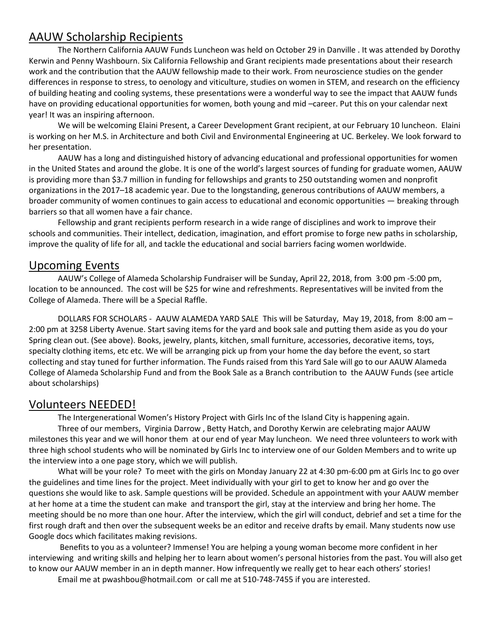# AAUW Scholarship Recipients

The Northern California AAUW Funds Luncheon was held on October 29 in Danville . It was attended by Dorothy Kerwin and Penny Washbourn. Six California Fellowship and Grant recipients made presentations about their research work and the contribution that the AAUW fellowship made to their work. From neuroscience studies on the gender differences in response to stress, to oenology and viticulture, studies on women in STEM, and research on the efficiency of building heating and cooling systems, these presentations were a wonderful way to see the impact that AAUW funds have on providing educational opportunities for women, both young and mid –career. Put this on your calendar next year! It was an inspiring afternoon.

We will be welcoming Elaini Present, a Career Development Grant recipient, at our February 10 luncheon. Elaini is working on her M.S. in Architecture and both Civil and Environmental Engineering at UC. Berkeley. We look forward to her presentation.

AAUW has a long and distinguished history of advancing educational and professional opportunities for women in the United States and around the globe. It is one of the world's largest sources of funding for graduate women, AAUW is providing more than \$3.7 million in funding for fellowships and grants to 250 outstanding women and nonprofit organizations in the 2017–18 academic year. Due to the longstanding, generous contributions of AAUW members, a broader community of women continues to gain access to educational and economic opportunities — breaking through barriers so that all women have a fair chance.

Fellowship and grant recipients perform research in a wide range of disciplines and work to improve their schools and communities. Their intellect, dedication, imagination, and effort promise to forge new paths in scholarship, improve the quality of life for all, and tackle the educational and social barriers facing women worldwide.

#### Upcoming Events

AAUW's College of Alameda Scholarship Fundraiser will be Sunday, April 22, 2018, from 3:00 pm -5:00 pm, location to be announced. The cost will be \$25 for wine and refreshments. Representatives will be invited from the College of Alameda. There will be a Special Raffle.

DOLLARS FOR SCHOLARS - AAUW ALAMEDA YARD SALE This will be Saturday, May 19, 2018, from 8:00 am – 2:00 pm at 3258 Liberty Avenue. Start saving items for the yard and book sale and putting them aside as you do your Spring clean out. (See above). Books, jewelry, plants, kitchen, small furniture, accessories, decorative items, toys, specialty clothing items, etc etc. We will be arranging pick up from your home the day before the event, so start collecting and stay tuned for further information. The Funds raised from this Yard Sale will go to our AAUW Alameda College of Alameda Scholarship Fund and from the Book Sale as a Branch contribution to the AAUW Funds (see article about scholarships)

#### Volunteers NEEDED!

The Intergenerational Women's History Project with Girls Inc of the Island City is happening again.

Three of our members, Virginia Darrow , Betty Hatch, and Dorothy Kerwin are celebrating major AAUW milestones this year and we will honor them at our end of year May luncheon. We need three volunteers to work with three high school students who will be nominated by Girls Inc to interview one of our Golden Members and to write up the interview into a one page story, which we will publish.

What will be your role? To meet with the girls on Monday January 22 at 4:30 pm-6:00 pm at Girls Inc to go over the guidelines and time lines for the project. Meet individually with your girl to get to know her and go over the questions she would like to ask. Sample questions will be provided. Schedule an appointment with your AAUW member at her home at a time the student can make and transport the girl, stay at the interview and bring her home. The meeting should be no more than one hour. After the interview, which the girl will conduct, debrief and set a time for the first rough draft and then over the subsequent weeks be an editor and receive drafts by email. Many students now use Google docs which facilitates making revisions.

Benefits to you as a volunteer? Immense! You are helping a young woman become more confident in her interviewing and writing skills and helping her to learn about women's personal histories from the past. You will also get to know our AAUW member in an in depth manner. How infrequently we really get to hear each others' stories!

Email me at [pwashbou@hotmail.com](mailto:pwashbou@hotmail.com) or call me at 510-748-7455 if you are interested.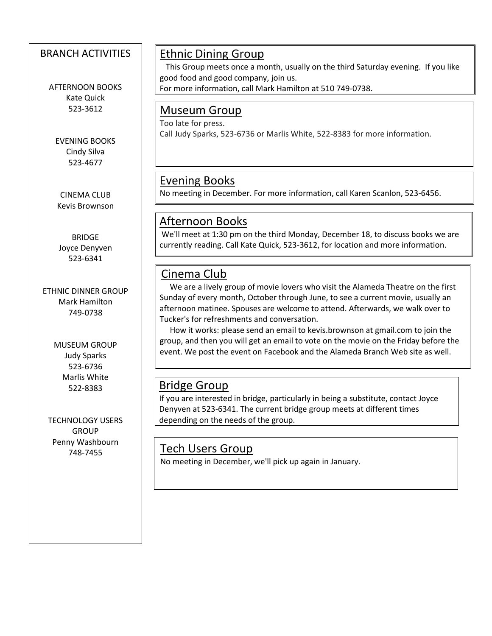#### BRANCH ACTIVITIES

AFTERNOON BOOKS Kate Quick 523-3612

EVENING BOOKS Cindy Silva 523-4677

CINEMA CLUB Kevis Brownson

BRIDGE Joyce Denyven 523-6341

ETHNIC DINNER GROUP Mark Hamilton 749-0738

> MUSEUM GROUP Judy Sparks 523-6736 Marlis White 522-8383

 $\overline{\phantom{a}}$ 

 $\overline{\phantom{a}}$ 

TECHNOLOGY USERS **GROUP** Penny Washbourn

# Ethnic Dining Group

 This Group meets once a month, usually on the third Saturday evening. If you like good food and good company, join us.

For more information, call Mark Hamilton at [510 749-0738.](tel:(510)%20749-0738)

#### Museum Group

Too late for press. Call Judy Sparks, 523-6736 or Marlis White, 522-8383 for more information.

# Evening Books

No meeting in December. For more information, call Karen Scanlon, 523-6456.

# Afternoon Books

We'll meet at 1:30 pm on the third Monday, December 18, to discuss books we are currently reading. Call Kate Quick, 523-3612, for location and more information.

# Cinema Club

 We are a lively group of movie lovers who visit the Alameda Theatre on the first Sunday of every month, October through June, to see a current movie, usually an afternoon matinee. Spouses are welcome to attend. Afterwards, we walk over to Tucker's for refreshments and conversation.

 How it works: please send an email to kevis.brownson at [gmail.com](http://gmail.com/) to join the group, and then you will get an email to vote on the movie on the Friday before the event. We post the event on Facebook and the Alameda Branch Web site as well.

# Bridge Group

If you are interested in bridge, particularly in being a substitute, contact Joyce Denyven at 523-6341. The current bridge group meets at different times depending on the needs of the group.

# $\frac{748-7455}{100}$  Tech Users Group

No meeting in December, we'll pick up again in January.